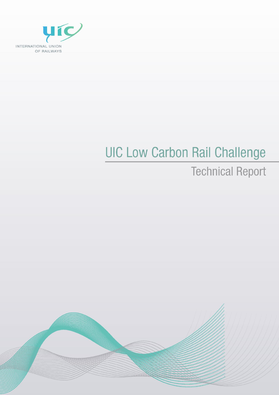

# **UIC Low Carbon Rail Challenge**

# **Technical Report**

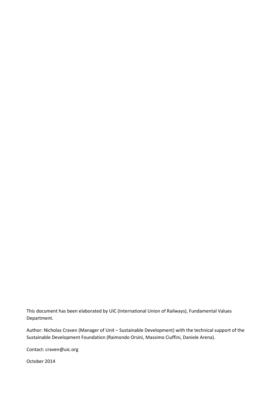This document has been elaborated by UIC (International Union of Railways), Fundamental Values Department.

Author: Nicholas Craven (Manager of Unit – Sustainable Development) with the technical support of the Sustainable Development Foundation (Raimondo Orsini, Massimo Ciuffini, Daniele Arena).

Contact: craven@uic.org

October 2014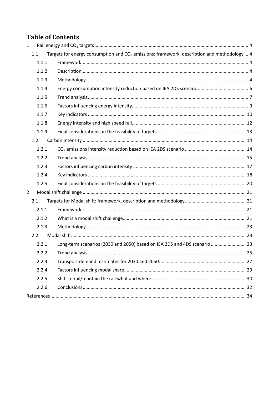# **Table of Contents**

| $\mathbf{1}$   |       |                                                                                                         |  |
|----------------|-------|---------------------------------------------------------------------------------------------------------|--|
|                | 1.1   | Targets for energy consumption and CO <sub>2</sub> emissions: framework, description and methodology  4 |  |
|                | 1.1.1 |                                                                                                         |  |
|                | 1.1.2 |                                                                                                         |  |
|                | 1.1.3 |                                                                                                         |  |
|                | 1.1.4 |                                                                                                         |  |
|                | 1.1.5 |                                                                                                         |  |
|                | 1.1.6 |                                                                                                         |  |
|                | 1.1.7 |                                                                                                         |  |
|                | 1.1.8 |                                                                                                         |  |
|                | 1.1.9 |                                                                                                         |  |
|                | 1.2   |                                                                                                         |  |
|                | 1.2.1 |                                                                                                         |  |
|                | 1.2.2 |                                                                                                         |  |
|                | 1.2.3 |                                                                                                         |  |
|                | 1.2.4 |                                                                                                         |  |
|                | 1.2.5 |                                                                                                         |  |
| $\overline{2}$ |       |                                                                                                         |  |
|                | 2.1   |                                                                                                         |  |
|                | 2.1.1 |                                                                                                         |  |
|                | 2.1.2 |                                                                                                         |  |
|                | 2.1.3 |                                                                                                         |  |
|                | 2.2   |                                                                                                         |  |
|                | 2.2.1 | Long-term scenarios (2030 and 2050) based on IEA 2DS and 4DS scenario  23                               |  |
|                |       |                                                                                                         |  |
|                | 2.2.3 |                                                                                                         |  |
|                | 2.2.4 |                                                                                                         |  |
|                | 2.2.5 |                                                                                                         |  |
|                | 2.2.6 |                                                                                                         |  |
|                |       |                                                                                                         |  |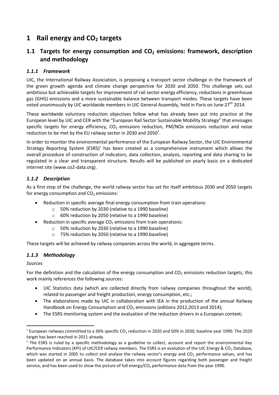# <span id="page-3-0"></span>**1 Rail energy and CO<sup>2</sup> targets**

# <span id="page-3-1"></span>**1.1 Targets for energy consumption and CO<sup>2</sup> emissions: framework, description and methodology**

# <span id="page-3-2"></span>*1.1.1 Framework*

UIC, the International Railway Association, is proposing a transport sector challenge in the framework of the green growth agenda and climate change perspective for 2030 and 2050. This challenge sets out ambitious but achievable targets for improvement of rail sector energy efficiency, reductions in greenhouse gas (GHG) emissions and a more sustainable balance between transport modes. These targets have been voted unanimously by UIC worldwide members in UIC General Assembly, held in Paris on June 27<sup>th</sup> 2014.

These worldwide voluntary reduction objectives follow what has already been put into practice at the European level by UIC and CER with the "European Rail Sector Sustainable Mobility Strategy" that envisages specific targets for energy efficiency,  $CO<sub>2</sub>$  emissions reduction, PM/NOx emissions reduction and noise reduction to be met by the EU railway sector in 2030 and 2050<sup>1</sup>.

In order to monitor the environmental performance of the European Railway Sector, the UIC Environmental Strategy Reporting System (ESRS)<sup>2</sup> has been created as a comprehensive instrument which allows the overall procedure of construction of indicators, data collection, analysis, reporting and data sharing to be regulated in a clear and transparent structure. Results will be published on yearly basis on a dedicated internet site (www.co2-data.org).

# <span id="page-3-3"></span>*1.1.2 Description*

As a first step of the challenge, the world railway sector has set for itself ambitious 2030 and 2050 targets for energy consumption and  $CO<sub>2</sub>$  emissions:

- Reduction in specific average final energy consumption from train operations:
	- o 50% reduction by 2030 (relative to a 1990 baseline)
	- o 60% reduction by 2050 (relative to a 1990 baseline)
	- Reduction in specific average  $CO<sub>2</sub>$  emissions from train operations:
		- o 50% reduction by 2030 (relative to a 1990 baseline)
		- o 75% reduction by 2050 (relative to a 1990 baseline)

These targets will be achieved by railway companies across the world, in aggregate terms.

# <span id="page-3-4"></span>*1.1.3 Methodology*

### *Sources*

**.** 

For the definition and the calculation of the energy consumption and  $CO<sub>2</sub>$  emissions reduction targets, this work mainly references the following sources:

- UIC Statistics data (which are collected directly from railway companies throughout the world), related to passenger and freight production, energy consumption, etc.;
- The elaborations made by UIC in collaboration with IEA in the production of the annual Railway Handbook on Energy Consumption and  $CO<sub>2</sub>$  emissions (editions 2012,2013 and 2014);
- The ESRS monitoring system and the evaluation of the reduction drivers in a European context;

<sup>&</sup>lt;sup>1</sup> European railways committed to a 30% specific CO<sub>2</sub> reduction in 2020 and 50% in 2030, baseline year 1990. The 2020 target has been reached in 2011 already.

 $2$  The ESRS is ruled by a specific methodology as a guideline to collect, account and report the environmental Key Performance Indicators (KPI) of UIC/CER railway members. The ESRS is an evolution of the UIC Energy &  $CO<sub>2</sub>$  Database, which was started in 2005 to collect and analyse the railway sector's energy and  $CO<sub>2</sub>$  performance values, and has been updated on an annual basis. The database takes into account figures regarding both passenger and freight service, and has been used to show the picture of full energy/CO<sub>2</sub> performance data from the year 1990.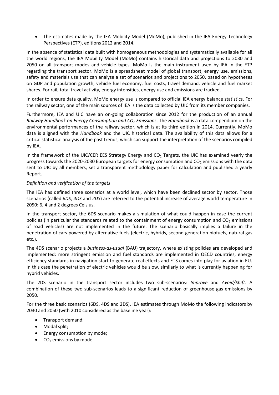The estimates made by the IEA Mobility Model (MoMo), published in the IEA Energy Technology Perspectives (ETP), editions 2012 and 2014.

In the absence of statistical data built with homogeneous methodologies and systematically available for all the world regions, the IEA Mobility Model (MoMo) contains historical data and projections to 2030 and 2050 on all transport modes and vehicle types. MoMo is the main instrument used by IEA in the ETP regarding the transport sector. MoMo is a spreadsheet model of global transport, energy use, emissions, safety and materials use that can analyse a set of scenarios and projections to 2050, based on hypotheses on GDP and population growth, vehicle fuel economy, fuel costs, travel demand, vehicle and fuel market shares. For rail, total travel activity, energy intensities, energy use and emissions are tracked.

In order to ensure data quality, MoMo energy use is compared to official IEA energy balance statistics. For the railway sector, one of the main sources of IEA is the data collected by UIC from its member companies.

Furthermore, IEA and UIC have an on-going collaboration since 2012 for the production of an annual *Railway Handbook on Energy Consumption and CO<sup>2</sup> Emissions*. The *Handbook* is a data compendium on the environmental performances of the railway sector, which is at its third edition in 2014. Currently, MoMo data is aligned with the *Handbook* and the UIC historical data. The availability of this data allows for a critical statistical analysis of the past trends, which can support the interpretation of the scenarios compiled by IEA.

In the framework of the UIC/CER EES Strategy Energy and  $CO<sub>2</sub>$  Targets, the UIC has examined yearly the progress towards the 2020-2030 European targets for energy consumption and  $CO<sub>2</sub>$  emissions with the data sent to UIC by all members, set a transparent methodology paper for calculation and published a yearly Report.

### *Definition and verification of the targets*

The IEA has defined three scenarios at a world level, which have been declined sector by sector. Those scenarios (called *6DS*, *4DS* and *2DS*) are referred to the potential increase of average world temperature in 2050: 6, 4 and 2 degrees Celsius.

In the transport sector, the 6DS scenario makes a simulation of what could happen in case the current policies (in particular the standards related to the containment of energy consumption and  $CO<sub>2</sub>$  emissions of road vehicles) are not implemented in the future. The scenario basically implies a failure in the penetration of cars powered by alternative fuels (electric, hybrids, second-generation biofuels, natural gas etc.).

The 4DS scenario projects a *business-as-usual* (BAU) trajectory, where existing policies are developed and implemented: more stringent emission and fuel standards are implemented in OECD countries, energy efficiency standards in navigation start to generate real effects and ETS comes into play for aviation in EU. In this case the penetration of electric vehicles would be slow, similarly to what is currently happening for hybrid vehicles.

The 2DS scenario in the transport sector includes two sub-scenarios: *Improve* and *Avoid/Shift*. A combination of these two sub-scenarios leads to a significant reduction of greenhouse gas emissions by 2050.

For the three basic scenarios (6DS, 4DS and 2DS), IEA estimates through MoMo the following indicators by 2030 and 2050 (with 2010 considered as the baseline year):

- Transport demand;
- Modal split;
- Energy consumption by mode;
- $\bullet$  CO<sub>2</sub> emissions by mode.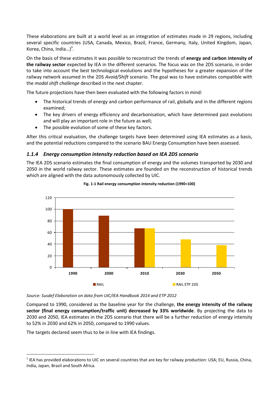These elaborations are built at a world level as an integration of estimates made in 29 regions, including several specific countries (USA, Canada, Mexico, Brazil, France, Germany, Italy, United Kingdom, Japan, Korea, China, India... $)^3$ .

On the basis of these estimates it was possible to reconstruct the trends of **energy and carbon intensity of the railway sector** expected by IEA in the different scenarios. The focus was on the 2DS scenario, in order to take into account the best technological evolutions and the hypotheses for a greater expansion of the railway network assumed in the 2DS *Avoid/Shift* scenario. The goal was to have estimates compatible with the *modal shift challenge* described in the next chapter.

The future projections have then been evaluated with the following factors in mind:

- The historical trends of energy and carbon performance of rail, globally and in the different regions examined;
- The key drivers of energy efficiency and decarbonisation, which have determined past evolutions and will play an important role in the future as well;
- The possible evolution of some of these key factors.

After this critical evaluation, the challenge targets have been determined using IEA estimates as a basis, and the potential reductions compared to the scenario BAU Energy Consumption have been assessed.

### <span id="page-5-0"></span>*1.1.4 Energy consumption intensity reduction based on IEA 2DS scenario*

The IEA 2DS scenario estimates the final consumption of energy and the volumes transported by 2030 and 2050 in the world railway sector. These estimates are founded on the reconstruction of historical trends which are aligned with the data autonomously collected by UIC.



### **Fig. 1-1 Rail energy consumption intensity reduction (1990=100)**

*Source: Susdef Elaboration on data from UIC/IEA Handbook 2014 and ETP 2012*

Compared to 1990, considered as the baseline year for the challenge, **the energy intensity of the railway sector (final energy consumption/traffic unit) decreased by 33% worldwide**. By projecting the data to 2030 and 2050, IEA estimates in the 2DS scenario that there will be a further reduction of energy intensity to 52% in 2030 and 62% in 2050, compared to 1990 values.

The targets declared seem thus to be in line with IEA findings.

**.** 

 $3$  IEA has provided elaborations to UIC on several countries that are key for railway production: USA; EU, Russia, China, India, Japan, Brazil and South Africa.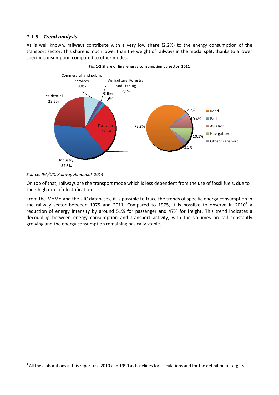### <span id="page-6-0"></span>*1.1.5 Trend analysis*

As is well known, railways contribute with a very low share (2.2%) to the energy consumption of the transport sector. This share is much lower than the weight of railways in the modal split, thanks to a lower specific consumption compared to other modes.





**.** 

On top of that, railways are the transport mode which is less dependent from the use of fossil fuels, due to their high rate of electrification.

From the MoMo and the UIC databases, it is possible to trace the trends of specific energy consumption in the railway sector between 1975 and 2011. Compared to 1975, it is possible to observe in 2010<sup>4</sup> a reduction of energy intensity by around 51% for passenger and 47% for freight. This trend indicates a decoupling between energy consumption and transport activity, with the volumes on rail constantly growing and the energy consumption remaining basically stable.

*Source: IEA/UIC Railway Handbook 2014*

<sup>&</sup>lt;sup>4</sup> All the elaborations in this report use 2010 and 1990 as baselines for calculations and for the definition of targets.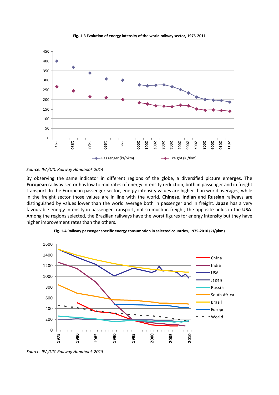

**Fig. 1-3 Evolution of energy intensity of the world railway sector, 1975-2011**

### *Source: IEA/UIC Railway Handbook 2014*

By observing the same indicator in different regions of the globe, a diversified picture emerges. The **European** railway sector has low to mid rates of energy intensity reduction, both in passenger and in freight transport. In the European passenger sector, energy intensity values are higher than world averages, while in the freight sector those values are in line with the world. **Chinese**, **Indian** and **Russian** railways are distinguished by values lower than the world average both in passenger and in freight. **Japan** has a very favourable energy intensity in passenger transport, not so much in freight; the opposite holds in the **USA**. Among the regions selected, the Brazilian railways have the worst figures for energy intensity but they have higher improvement rates than the others.



**Fig. 1-4 Railway passenger specific energy consumption in selected countries, 1975-2010 (kJ/pkm)**

*Source: IEA/UIC Railway Handbook 2013*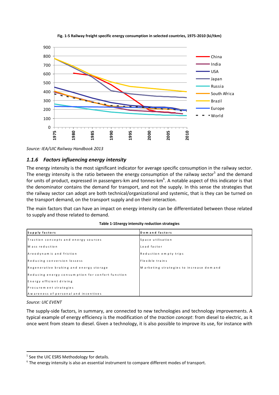

**Fig. 1-5 Railway freight specific energy consumption in selected countries, 1975-2010 (kJ/tkm)**

*Source: IEA/UIC Railway Handbook 2013*

### <span id="page-8-0"></span>*1.1.6 Factors influencing energy intensity*

The energy intensity is the most significant indicator for average specific consumption in the railway sector. The energy intensity is the ratio between the energy consumption of the railway sector<sup>5</sup> and the demand for units of product, expressed in passengers-km and tonnes-km<sup>6</sup>. A notable aspect of this indicator is that the denominator contains the demand for transport, and not the supply. In this sense the strategies that the railway sector can adopt are both technical/organizational and systemic, that is they can be turned on the transport demand, on the transport supply and on their interaction.

The main factors that can have an impact on energy intensity can be differentiated between those related to supply and those related to demand.

| Supply factors                                   | Demand factors                            |
|--------------------------------------------------|-------------------------------------------|
| Traction concepts and energy sources             | Space utilisation                         |
| M ass reduction                                  | Load factor                               |
| Areodynamic and friction                         | Reduction empty trips                     |
| Reducing conversion lossess                      | Flexible trains                           |
| Regenerative braking and energy storage          | M arketing strategies to increase dem and |
| Reducing energy consumption for confort function |                                           |
| Energy efficient driving                         |                                           |
| Procurem ent strategies                          |                                           |
| Awareness of personal and incentives             |                                           |

**Table 1-1Energy intensity reduction strategies**

#### *Source: UIC EVENT*

**.** 

The supply-side factors, in summary, are connected to new technologies and technology improvements. A typical example of energy efficiency is the modification of the *traction concept*: from diesel to electric, as it once went from steam to diesel. Given a technology, it is also possible to improve its use, for instance with

<sup>&</sup>lt;sup>5</sup> See the UIC ESRS Methodology for details.

 $6$  The energy intensity is also an essential instrument to compare different modes of transport.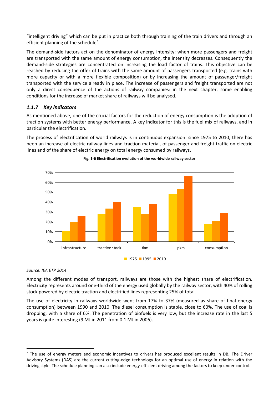"intelligent driving" which can be put in practice both through training of the train drivers and through an efficient planning of the schedule<sup>7</sup>.

The demand-side factors act on the denominator of energy intensity: when more passengers and freight are transported with the same amount of energy consumption, the intensity decreases. Consequently the demand-side strategies are concentrated on increasing the load factor of trains. This objective can be reached by reducing the offer of trains with the same amount of passengers transported (e.g. trains with more capacity or with a more flexible composition) or by increasing the amount of passenger/freight transported with the service already in place. The increase of passengers and freight transported are not only a direct consequence of the actions of railway companies: in the next chapter, some enabling conditions for the increase of market share of railways will be analysed.

### <span id="page-9-0"></span>*1.1.7 Key indicators*

As mentioned above, one of the crucial factors for the reduction of energy consumption is the adoption of traction systems with better energy performance. A key indicator for this is the fuel mix of railways, and in particular the electrification.

The process of electrification of world railways is in continuous expansion: since 1975 to 2010, there has been an increase of electric railway lines and traction material, of passenger and freight traffic on electric lines and of the share of electric energy on total energy consumed by railways.



### **Fig. 1-6 Electrification evolution of the worldwide railway sector**

### *Source: IEA ETP 2014*

1

Among the different modes of transport, railways are those with the highest share of electrification. Electricity represents around one-third of the energy used globally by the railway sector, with 40% of rolling stock powered by electric traction and electrified lines representing 25% of total.

The use of electricity in railways worldwide went from 17% to 37% (measured as share of final energy consumption) between 1990 and 2010. The diesel consumption is stable, close to 60%. The use of coal is dropping, with a share of 6%. The penetration of biofuels is very low, but the increase rate in the last 5 years is quite interesting (9 MJ in 2011 from 0.1 MJ in 2006).

 $<sup>7</sup>$  The use of energy meters and economic incentives to drivers has produced excellent results in DB. The Driver</sup> Advisory Systems (DAS) are the current cutting-edge technology for an optimal use of energy in relation with the driving style. The schedule planning can also include energy-efficient driving among the factors to keep under control.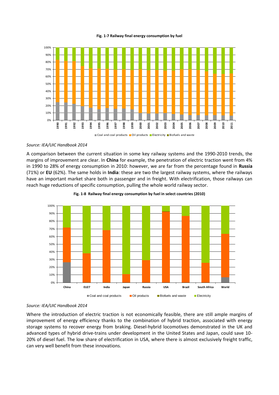#### **Fig. 1-7 Railway final energy consumption by fuel**



#### *Source: IEA/UIC Handbook 2014*

A comparison between the current situation in some key railway systems and the 1990-2010 trends, the margins of improvement are clear. In **China** for example, the penetration of electric traction went from 4% in 1990 to 28% of energy consumption in 2010: however, we are far from the percentage found in **Russia** (71%) or **EU** (62%). The same holds in **India**: these are two the largest railway systems, where the railways have an important market share both in passenger and in freight. With electrification, those railways can reach huge reductions of specific consumption, pulling the whole world railway sector.



**Fig. 1-8 Railway final energy consumption by fuel in select countries (2010)**

### *Source: IEA/UIC Handbook 2014*

Where the introduction of electric traction is not economically feasible, there are still ample margins of improvement of energy efficiency thanks to the combination of hybrid traction, associated with energy storage systems to recover energy from braking. Diesel‐hybrid locomotives demonstrated in the UK and advanced types of hybrid drive-trains under development in the United States and Japan, could save 10-20% of diesel fuel. The low share of electrification in USA, where there is almost exclusively freight traffic, can very well benefit from these innovations.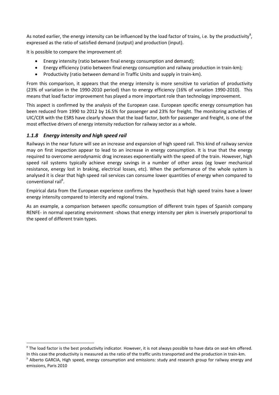As noted earlier, the energy intensity can be influenced by the load factor of trains, i.e. by the productivity<sup>8</sup>, expressed as the ratio of satisfied demand (output) and production (input).

It is possible to compare the improvement of:

- Energy intensity (ratio between final energy consumption and demand);
- Energy efficiency (ratio between final energy consumption and railway production in train-km);
- Productivity (ratio between demand in Traffic Units and supply in train-km).

From this comparison, it appears that the energy intensity is more sensitive to variation of productivity (23% of variation in the 1990-2010 period) than to energy efficiency (16% of variation 1990-2010). This means that load factor improvement has played a more important role than technology improvement.

This aspect is confirmed by the analysis of the European case. European specific energy consumption has been reduced from 1990 to 2012 by 16.5% for passenger and 23% for freight. The monitoring activities of UIC/CER with the ESRS have clearly shown that the load factor, both for passenger and freight, is one of the most effective drivers of energy intensity reduction for railway sector as a whole.

# <span id="page-11-0"></span>*1.1.8 Energy intensity and high speed rail*

**.** 

Railways in the near future will see an increase and expansion of high speed rail. This kind of railway service may on first inspection appear to lead to an increase in energy consumption. It is true that the energy required to overcome aerodynamic drag increases exponentially with the speed of the train. However, high speed rail systems typically achieve energy savings in a number of other areas (eg lower mechanical resistance, energy lost in braking, electrical losses, etc). When the performance of the whole system is analysed it is clear that high speed rail services can consume lower quantities of energy when compared to conventional rail<sup>9</sup>.

Empirical data from the European experience confirms the hypothesis that high speed trains have a lower energy intensity compared to intercity and regional trains.

As an example, a comparison between specific consumption of different train types of Spanish company RENFE- in normal operating environment -shows that energy intensity per pkm is inversely proportional to the speed of different train types.

 $8$  The load factor is the best productivity indicator. However, it is not always possible to have data on seat-km offered. In this case the productivity is measured as the ratio of the traffic units transported and the production in train-km.

 $9$  Alberto GARCIA, High speed, energy consumption and emissions: study and research group for railway energy and emissions, Paris 2010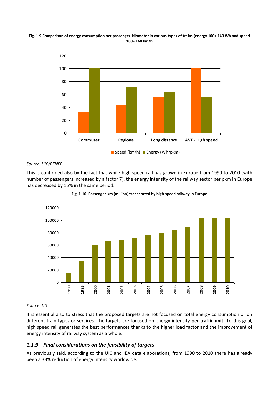### **Fig. 1-9 Comparison of energy consumption per passenger-kilometer in various types of trains (energy 100= 140 Wh and speed 100= 160 km/h**



### *Source: UIC/RENFE*

This is confirmed also by the fact that while high speed rail has grown in Europe from 1990 to 2010 (with number of passengers increased by a factor 7), the energy intensity of the railway sector per pkm in Europe has decreased by 15% in the same period.





### *Source: UIC*

It is essential also to stress that the proposed targets are not focused on total energy consumption or on different train types or services. The targets are focused on energy intensity **per traffic unit.** To this goal, high speed rail generates the best performances thanks to the higher load factor and the improvement of energy intensity of railway system as a whole.

### <span id="page-12-0"></span>*1.1.9 Final considerations on the feasibility of targets*

As previously said, according to the UIC and IEA data elaborations, from 1990 to 2010 there has already been a 33% reduction of energy intensity worldwide.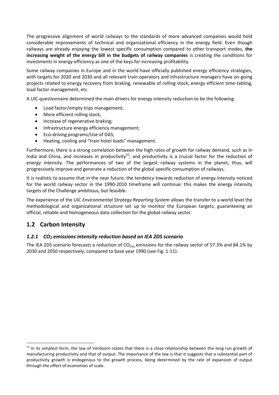The progressive alignment of world railways to the standards of more advanced companies would hold considerable improvements of technical and organizational efficiency in the energy field. Even though railways are already enjoying the lowest specific consumption compared to other transport modes, **the increasing weight of the energy bill in the budgets of railway companies** is creating the conditions for investments in energy efficiency as one of the keys for increasing profitability.

Some railway companies in Europe and in the world have officially published energy efficiency strategies, with targets for 2020 and 2030 and all relevant train operators and infrastructure managers have on-going projects related to energy recovery from braking, renewable of rolling stock, energy efficient time-tabling, load factor management, etc.

A UIC questionnaire determined the main drivers for energy intensity reduction to be the following:

- Load factor/empty trips management;
- More efficient rolling stock;
- Increase of regenerative braking;
- Infrastructure energy efficiency management;
- Eco-driving programs/Use of DAS;
- Heating, cooling and "train hotel loads" management.

Furthermore, there is a strong correlation between the high rates of growth for railway demand, such as in India and China, and increases in productivity<sup>10</sup>; and productivity is a crucial factor for the reduction of energy intensity. The performances of two of the largest railway systems in the planet, thus, will progressively improve and generate a reduction of the global specific consumption of railways.

It is realistic to assume that in the near future, the tendency towards reduction of energy intensity noticed for the world railway sector in the 1990-2010 timeframe will continue: this makes the energy intensity targets of the Challenge ambitious, but feasible.

The experience of the UIC *Environmental Strategy Reporting System* allows the transfer to a world level the methodological and organizational structure set up to monitor the European targets, guaranteeing an official, reliable and homogeneous data collection for the global railway sector.

# <span id="page-13-0"></span>**1.2 Carbon Intensity**

**.** 

### <span id="page-13-1"></span>*1.2.1 CO<sup>2</sup> emissions intensity reduction based on IEA 2DS scenario*

The IEA 2DS scenario forecasts a reduction of  $CO_{2eq}$  emissions for the railway sector of 57.3% and 84.1% by 2030 and 2050 respectively, compared to base year 1990 (see [Fig. 1-11\)](#page-14-1).

 $10$  In its simplest form, the law of Verdoorn states that there is a close relationship between the long run growth of manufacturing productivity and that of output. The importance of the law is that it suggests that a substantial part of productivity growth is endogenous to the growth process, being determined by the rate of expansion of output through the effect of economies of scale.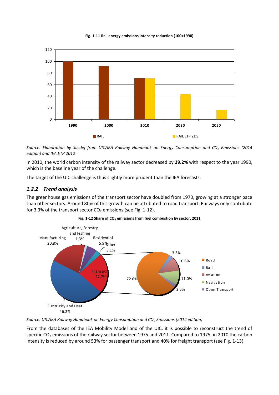

<span id="page-14-1"></span>

*Source: Elaboration by Susdef from UIC/IEA Railway Handbook on Energy Consumption and CO<sup>2</sup> Emissions (2014 edition) and IEA ETP 2012*

In 2010, the world carbon intensity of the railway sector decreased by **29.2%** with respect to the year 1990, which is the baseline year of the challenge.

The target of the UIC challenge is thus slightly more prudent than the IEA forecasts.

### <span id="page-14-0"></span>*1.2.2 Trend analysis*

The greenhouse gas emissions of the transport sector have doubled from 1970, growing at a stronger pace than other sectors. Around 80% of this growth can be attributed to road transport. Railways only contribute for 3.3% of the transport sector  $CO<sub>2</sub>$  emissions (se[e Fig. 1-12\)](#page-14-2).

<span id="page-14-2"></span>



*Source: UIC/IEA Railway Handbook on Energy Consumption and CO<sup>2</sup> Emissions (2014 edition)*

From the databases of the IEA Mobility Model and of the UIC, it is possible to reconstruct the trend of specific CO<sub>2</sub> emissions of the railway sector between 1975 and 2011. Compared to 1975, in 2010 the carbon intensity is reduced by around 53% for passenger transport and 40% for freight transport (see [Fig. 1-13\)](#page-15-0).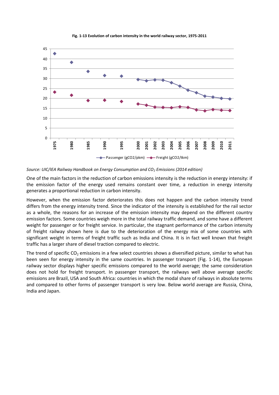<span id="page-15-0"></span>

**Fig. 1-13 Evolution of carbon intensity in the world railway sector, 1975-2011**

*Source: UIC/IEA Railway Handbook on Energy Consumption and CO<sup>2</sup> Emissions (2014 edition)*

One of the main factors in the reduction of carbon emissions intensity is the reduction in energy intensity: if the emission factor of the energy used remains constant over time, a reduction in energy intensity generates a proportional reduction in carbon intensity.

However, when the emission factor deteriorates this does not happen and the carbon intensity trend differs from the energy intensity trend. Since the indicator of the intensity is established for the rail sector as a whole, the reasons for an increase of the emission intensity may depend on the different country emission factors. Some countries weigh more in the total railway traffic demand, and some have a different weight for passenger or for freight service. In particular, the stagnant performance of the carbon intensity of freight railway shown here is due to the deterioration of the energy mix of some countries with significant weight in terms of freight traffic such as India and China. It is in fact well known that freight traffic has a larger share of diesel traction compared to electric.

The trend of specific  $CO<sub>2</sub>$  emissions in a few select countries shows a diversified picture, similar to what has been seen for energy intensity in the same countries. In passenger transport [\(Fig. 1-14\)](#page-16-1), the European railway sector displays higher specific emissions compared to the world average; the same consideration does not hold for freight transport. In passenger transport, the railways well above average specific emissions are Brazil, USA and South Africa: countries in which the modal share of railways in absolute terms and compared to other forms of passenger transport is very low. Below world average are Russia, China, India and Japan.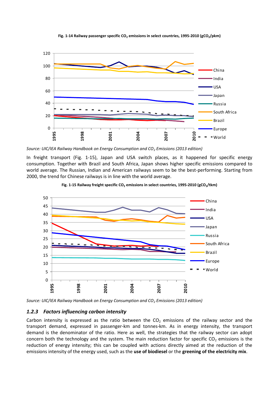<span id="page-16-1"></span>

**Fig. 1-14 Railway passenger specific CO<sup>2</sup> emissions in select countries, 1995-2010 (gCO2/pkm)**

*Source: UIC/IEA Railway Handbook on Energy Consumption and CO<sup>2</sup> Emissions (2013 edition)*

In freight transport [\(Fig. 1-15\)](#page-16-2), Japan and USA switch places, as it happened for specific energy consumption. Together with Brazil and South Africa, Japan shows higher specific emissions compared to world average. The Russian, Indian and American railways seem to be the best-performing. Starting from 2000, the trend for Chinese railways is in line with the world average.

<span id="page-16-2"></span>



*Source: UIC/IEA Railway Handbook on Energy Consumption and CO<sup>2</sup> Emissions (2013 edition)*

### <span id="page-16-0"></span>*1.2.3 Factors influencing carbon intensity*

Carbon intensity is expressed as the ratio between the  $CO<sub>2</sub>$  emissions of the railway sector and the transport demand, expressed in passenger-km and tonnes-km. As in energy intensity, the transport demand is the denominator of the ratio. Here as well, the strategies that the railway sector can adopt concern both the technology and the system. The main reduction factor for specific  $CO<sub>2</sub>$  emissions is the reduction of energy intensity; this can be coupled with actions directly aimed at the reduction of the emissions intensity of the energy used, such as the **use of biodiesel** or the **greening of the electricity mix**.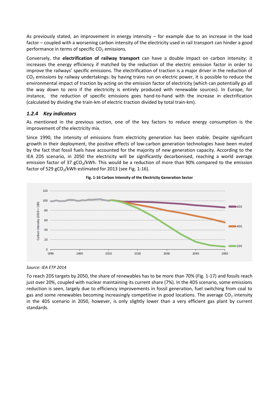As previously stated, an improvement in energy intensity – for example due to an increase in the load factor – coupled with a worsening carbon intensity of the electricity used in rail transport can hinder a good performance in terms of specific  $CO<sub>2</sub>$  emissions.

Conversely, the **electrification of railway transport** can have a double impact on carbon intensity: it increases the energy efficiency if matched by the reduction of the electric emission factor in order to improve the railways' specific emissions. The electrification of traction is a major driver in the reduction of  $CO<sub>2</sub>$  emissions by railway undertakings: by having trains run on electric power, it is possible to reduce the environmental impact of traction by acting on the emission factor of electricity (which can potentially go all the way down to zero if the electricity is entirely produced with renewable sources). In Europe, for instance, the reduction of specific emissions goes hand-to-hand with the increase in electrification (calculated by dividing the train-km of electric traction divided by total train-km).

### <span id="page-17-0"></span>*1.2.4 Key indicators*

As mentioned in the previous section, one of the key factors to reduce energy consumption is the improvement of the electricity mix.

Since 1990, the intensity of emissions from electricity generation has been stable. Despite significant growth in their deployment, the positive effects of low-carbon generation technologies have been muted by the fact that fossil fuels have accounted for the majority of new generation capacity. According to the IEA 2DS scenario, in 2050 the electricity will be significantly decarbonised, reaching a world average emission factor of 37  $gCO<sub>2</sub>/kWh$ . This would be a reduction of more than 90% compared to the emission factor of 529  $gCO<sub>2</sub>/kWh$  estimated for 2013 (se[e Fig. 1-16\)](#page-17-1).

<span id="page-17-1"></span>



*Source: IEA ETP 2014*

To reach 2DS targets by 2050, the share of renewables has to be more than 70% [\(Fig. 1-17\)](#page-18-0) and fossils reach just over 20%, coupled with nuclear maintaining its current share (7%). In the 4DS scenario, some emissions reduction is seen, largely due to efficiency improvements in fossil generation, fuel switching from coal to gas and some renewables becoming increasingly competitive in good locations. The average  $CO<sub>2</sub>$  intensity in the 4DS scenario in 2050, however, is only slightly lower than a very efficient gas plant by current standards.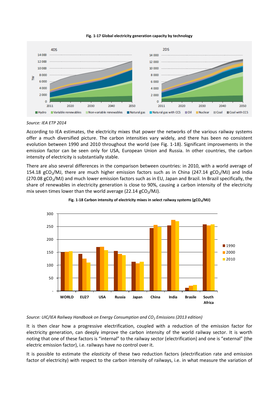**Fig. 1-17 Global electricity generation capacity by technology**

<span id="page-18-0"></span>

*Source: IEA ETP 2014*

According to IEA estimates, the electricity mixes that power the networks of the various railway systems offer a much diversified picture. The carbon intensities vary widely, and there has been no consistent evolution between 1990 and 2010 throughout the world (see [Fig. 1-18\)](#page-18-1). Significant improvements in the emission factor can be seen only for USA, European Union and Russia. In other countries, the carbon intensity of electricity is substantially stable.

There are also several differences in the comparison between countries: in 2010, with a world average of 154.18 gCO<sub>2</sub>/MJ, there are much higher emission factors such as in China (247.14 gCO<sub>2</sub>/MJ) and India  $(270.08 \text{ gCO}_2/\text{M})$  and much lower emission factors such as in EU, Japan and Brazil. In Brazil specifically, the share of renewables in electricity generation is close to 90%, causing a carbon intensity of the electricity mix seven times lower than the world average (22.14  $gCO<sub>2</sub>/MJ$ ).

<span id="page-18-1"></span>



### *Source: UIC/IEA Railway Handbook on Energy Consumption and CO<sup>2</sup> Emissions (2013 edition)*

It is then clear how a progressive electrification, coupled with a reduction of the emission factor for electricity generation, can deeply improve the carbon intensity of the world railway sector. It is worth noting that one of these factors is "internal" to the railway sector (electrification) and one is "external" (the electric emission factor), i.e. railways have no control over it.

It is possible to estimate the *elasticity* of these two reduction factors (electrification rate and emission factor of electricity) with respect to the carbon intensity of railways, i.e. in what measure the variation of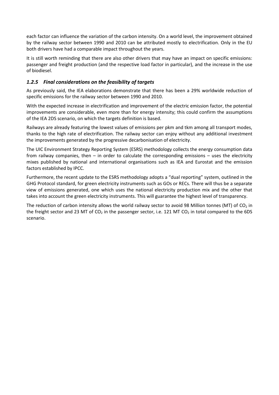each factor can influence the variation of the carbon intensity. On a world level, the improvement obtained by the railway sector between 1990 and 2010 can be attributed mostly to electrification. Only in the EU both drivers have had a comparable impact throughout the years.

It is still worth reminding that there are also other drivers that may have an impact on specific emissions: passenger and freight production (and the respective load factor in particular), and the increase in the use of biodiesel.

# <span id="page-19-0"></span>*1.2.5 Final considerations on the feasibility of targets*

As previously said, the IEA elaborations demonstrate that there has been a 29% worldwide reduction of specific emissions for the railway sector between 1990 and 2010.

With the expected increase in electrification and improvement of the electric emission factor, the potential improvements are considerable, even more than for energy intensity; this could confirm the assumptions of the IEA 2DS scenario, on which the targets definition is based.

Railways are already featuring the lowest values of emissions per pkm and tkm among all transport modes, thanks to the high rate of electrification. The railway sector can enjoy without any additional investment the improvements generated by the progressive decarbonisation of electricity.

The UIC Environment Strategy Reporting System (ESRS) methodology collects the energy consumption data from railway companies, then – in order to calculate the corresponding emissions – uses the electricity mixes published by national and international organisations such as IEA and Eurostat and the emission factors established by IPCC.

Furthermore, the recent update to the ESRS methodology adopts a "dual reporting" system, outlined in the GHG Protocol standard, for green electricity instruments such as GOs or RECs. There will thus be a separate view of emissions generated, one which uses the national electricity production mix and the other that takes into account the green electricity instruments. This will guarantee the highest level of transparency.

The reduction of carbon intensity allows the world railway sector to avoid 98 Million tonnes (MT) of  $CO<sub>2</sub>$  in the freight sector and 23 MT of  $CO<sub>2</sub>$  in the passenger sector, i.e. 121 MT  $CO<sub>2</sub>$  in total compared to the 6DS scenario.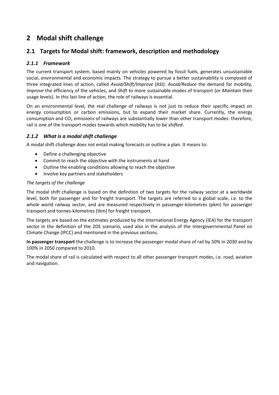# <span id="page-20-0"></span>**2 Modal shift challenge**

# <span id="page-20-1"></span>**2.1 Targets for Modal shift: framework, description and methodology**

# <span id="page-20-2"></span>*2.1.1 Framework*

The current transport system, based mainly on vehicles powered by fossil fuels, generates unsustainable social, environmental and economic impacts. The strategy to pursue a better sustainability is composed of three integrated lines of action, called *Avoid/Shift/Improve* (ASI): *Avoid/Reduce* the demand for mobility, *Improve* the efficiency of the vehicles, and *Shift* to more sustainable modes of transport (or *Maintain* their usage levels). In this last line of action, the role of railways is essential.

On an environmental level, the real challenge of railways is not just to reduce their specific impact on energy consumption or carbon emissions, but to expand their market share. Currently, the energy consumption and  $CO<sub>2</sub>$  emissions of railways are substantially lower than other transport modes: therefore, rail is one of the transport modes towards which mobility has to be *shifted*.

# <span id="page-20-3"></span>*2.1.2 What is a modal shift challenge*

A modal shift challenge does not entail making forecasts or outline a plan. It means to:

- Define a challenging objective
- Commit to reach the objective with the instruments at hand
- Outline the enabling conditions allowing to reach the objective
- Involve key partners and stakeholders

### *The targets of the challenge*

The modal shift challenge is based on the definition of two targets for the railway sector at a worldwide level, both for passenger and for freight transport. The targets are referred to a global scale, i.e. to the whole world railway sector, and are measured respectively in passenger-kilometres (pkm) for passenger transport and tonnes-kilometres (tkm) for freight transport.

The targets are based on the estimates produced by the International Energy Agency (IEA) for the transport sector in the definition of the 2DS scenario, used also in the analysis of the Intergovernmental Panel on Climate Change (IPCC) and mentioned in the previous sections.

**In passenger transport** the challenge is to increase the passenger modal share of rail by 50% in 2030 and by 100% in 2050 compared to 2010.

The modal share of rail is calculated with respect to all other passenger transport modes, i.e. road, aviation and navigation.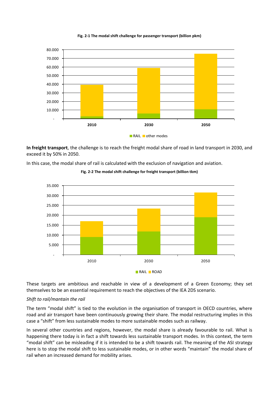



**In freight transport**, the challenge is to reach the freight modal share of road in land transport in 2030, and exceed it by 50% in 2050.

In this case, the modal share of rail is calculated with the exclusion of navigation and aviation.



**Fig. 2-2 The modal shift challenge for freight transport (billion tkm)**

These targets are ambitious and reachable in view of a development of a Green Economy; they set themselves to be an essential requirement to reach the objectives of the IEA 2DS scenario.

### *Shift to rail/mantain the rail*

The term "modal shift" is tied to the evolution in the organisation of transport in OECD countries, where road and air transport have been continuously growing their share. The modal restructuring implies in this case a "shift" from less sustainable modes to more sustainable modes such as railway.

In several other countries and regions, however, the modal share is already favourable to rail. What is happening there today is in fact a shift towards less sustainable transport modes. In this context, the term "modal shift" can be misleading if it is intended to be a shift towards rail. The meaning of the ASI strategy here is to stop the modal shift to less sustainable modes, or in other words "maintain" the modal share of rail when an increased demand for mobility arises.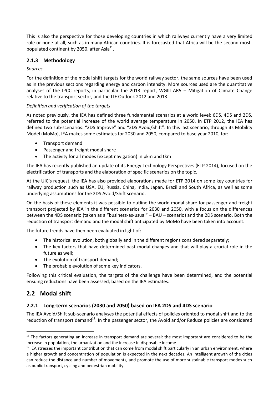This is also the perspective for those developing countries in which railways currently have a very limited role or none at all, such as in many African countries. It is forecasted that Africa will be the second mostpopulated continent by 2050, after Asia<sup>11</sup>.

# <span id="page-22-0"></span>**2.1.3 Methodology**

### *Sources*

For the definition of the modal shift targets for the world railway sector, the same sources have been used as in the previous sections regarding energy and carbon intensity. More sources used are the quantitative analyses of the IPCC reports, in particular the 2013 report, WGIII AR5 – Mitigation of Climate Change relative to the transport sector, and the ITF Outlook 2012 and 2013.

### *Definition and verification of the targets*

As noted previously, the IEA has defined three fundamental scenarios at a world level: 6DS, 4DS and 2DS, referred to the potential increase of the world average temperature in 2050. In ETP 2012, the IEA has defined two sub-scenarios: "2DS Improve" and "2DS Avoid/Shift". In this last scenario, through its Mobility Model (MoMo), IEA makes some estimates for 2030 and 2050, compared to base year 2010, for:

- Transport demand
- Passenger and freight modal share
- The activity for all modes (except navigation) in pkm and tkm

The IEA has recently published an update of its Energy Technology Perspectives (ETP 2014), focused on the electrification of transports and the elaboration of specific scenarios on the topic.

At the UIC's request, the IEA has also provided elaborations made for ETP 2014 on some key countries for railway production such as USA, EU, Russia, China, India, Japan, Brazil and South Africa, as well as some underlying assumptions for the 2DS Avoid/Shift scenario.

On the basis of these elements it was possible to outline the world modal share for passenger and freight transport projected by IEA in the different scenarios for 2030 and 2050, with a focus on the differences between the 4DS scenario (taken as a "business-as-usual" – BAU – scenario) and the 2DS scenario. Both the reduction of transport demand and the modal shift anticipated by MoMo have been taken into account.

The future trends have then been evaluated in light of:

- The historical evolution, both globally and in the different regions considered separately;
- The key factors that have determined past modal changes and that will play a crucial role in the future as well;
- The evolution of transport demand;
- The probable evolution of some key indicators.

Following this critical evaluation, the targets of the challenge have been determined, and the potential ensuing reductions have been assessed, based on the IEA estimates.

# <span id="page-22-1"></span>**2.2 Modal shift**

**.** 

# <span id="page-22-2"></span>**2.2.1 Long-term scenarios (2030 and 2050) based on IEA 2DS and 4DS scenario**

The IEA Avoid/Shift sub-scenario analyses the potential effects of policies oriented to modal shift and to the reduction of transport demand<sup>12</sup>. In the passenger sector, the Avoid and/or Reduce policies are considered

 $11$  The factors generating an increase in transport demand are several: the most important are considered to be the increase in population, the urbanization and the increase in disposable income.

 $<sup>12</sup>$  IEA stresses the important contribution that can come from modal shift particularly in an urban environment, where</sup> a higher growth and concentration of population is expected in the next decades. An intelligent growth of the cities can reduce the distance and number of movements, and promote the use of more sustainable transport modes such as public transport, cycling and pedestrian mobility.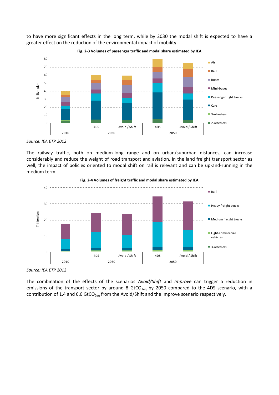to have more significant effects in the long term, while by 2030 the modal shift is expected to have a greater effect on the reduction of the environmental impact of mobility.



**Fig. 2-3 Volumes of passenger traffic and modal share estimated by IEA**

The railway traffic, both on medium-long range and on urban/suburban distances, can increase considerably and reduce the weight of road transport and aviation. In the land freight transport sector as well, the impact of policies oriented to modal shift on rail is relevant and can be up-and-running in the medium term.



*Source: IEA ETP 2012*

The combination of the effects of the scenarios *Avoid/Shift* and *Improve* can trigger a reduction in emissions of the transport sector by around 8 GtCO<sub>2eq</sub> by 2050 compared to the 4DS scenario, with a contribution of 1.4 and 6.6 GtCO<sub>2eq</sub> from the Avoid/Shift and the Improve scenario respectively.

*Source: IEA ETP 2012*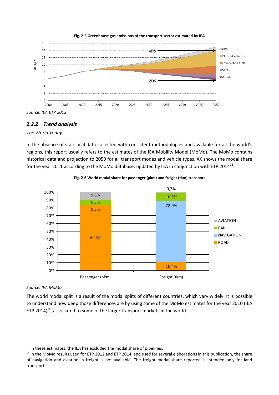

**Fig. 2-5 Greenhouse gas emissions of the transport sector estimated by IEA**

*Source: IEA ETP 2012*

# <span id="page-24-0"></span>*2.2.2 Trend analysis*

### *The World Today*

In the absence of statistical data collected with consistent methodologies and available for all the world's regions, this report usually refers to the estimates of the IEA Mobility Model (MoMo). The MoMo contains historical data and projection to 2050 for all transport modes and vehicle types. XX shows the modal share for the year 2011 according to the MoMo database, updated by IEA in conjunction with ETP 2014<sup>13</sup>.



**Fig. 2-6 World modal share for passenger (pkm) and freight (tkm) transport**

### *Source: IEA MoMo*

**.** 

The world modal split is a result of the modal splits of different countries, which vary widely. It is possible to understand how deep those differences are by using some of the MoMo estimates for the year 2010 (IEA ETP 2014)<sup>14</sup>, associated to some of the larger transport markets in the world.

 $13$  In these estimates, the IEA has excluded the modal share of pipelines.

<sup>&</sup>lt;sup>14</sup> In the MoMo results used for ETP 2012 and ETP 2014, and used for several elaborations in this publication, the share of navigation and aviation in freight is not available. The freight modal share reported is intended only for land transport.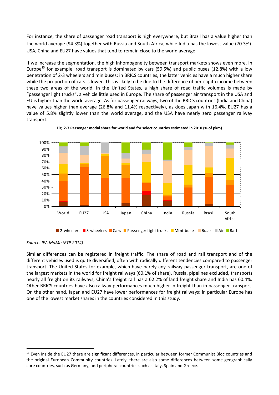For instance, the share of passenger road transport is high everywhere, but Brazil has a value higher than the world average (94.3%) together with Russia and South Africa, while India has the lowest value (70.3%). USA, China and EU27 have values that tend to remain close to the world average.

If we increase the segmentation, the high inhomogeneity between transport markets shows even more. In Europe<sup>15</sup> for example, road transport is dominated by cars (59.5%) and public buses (12.8%) with a low penetration of 2-3 wheelers and minibuses; in BRICS countries, the latter vehicles have a much higher share while the proportion of cars is lower. This is likely to be due to the difference of per-capita income between these two areas of the world. In the United States, a high share of road traffic volumes is made by "passenger light trucks", a vehicle little used in Europe. The share of passenger air transport in the USA and EU is higher than the world average. As for passenger railways, two of the BRICS countries (India and China) have values higher than average (26.8% and 11.4% respectively), as does Japan with 16.4%. EU27 has a value of 5.8% slightly lower than the world average, and the USA have nearly zero passenger railway transport.





1

Similar differences can be registered in freight traffic. The share of road and rail transport and of the different vehicles used is quite diversified, often with radically different tendencies compared to passenger transport. The United States for example, which have barely any railway passenger transport, are one of the largest markets in the world for freight railways (60.1% of share). Russia, pipelines excluded, transports nearly all freight on its railways; China's freight rail has a 62.2% of land freight share and India has 60.4%. Other BRICS countries have also railway performances much higher in freight than in passenger transport. On the other hand, Japan and EU27 have lower performances for freight railways: in particular Europe has one of the lowest market shares in the countries considered in this study.

**<sup>2-</sup>wheelers 2-wheelers Cars Passenger light trucks Mini-buses Buses Mair Pail** 

*Source: IEA MoMo (ETP 2014)*

<sup>&</sup>lt;sup>15</sup> Even inside the EU27 there are significant differences, in particular between former Communist Bloc countries and the original European Community countries. Lately, there are also some differences between some geographically core countries, such as Germany, and peripheral countries such as Italy, Spain and Greece.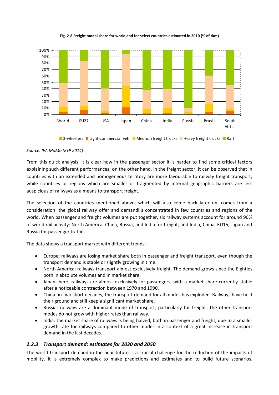

**Fig. 2-8 Freight modal share for world and for select countries estimated in 2010 (% of tkm)**

**13-wheelers Light-commercial veh. Medium freight trucks Limeavy freight trucks Limeavi** 

### *Source: IEA MoMo (ETP 2014)*

From this quick analysis, it is clear how in the passenger sector it is harder to find some critical factors explaining such different performances; on the other hand, in the freight sector, it can be observed that in countries with an extended and homogeneous territory are more favourable to railway freight transport, while countries or regions which are smaller or fragmented by internal geographic barriers are less auspicious of railways as a means to transport freight.

The selection of the countries mentioned above, which will also come back later on, comes from a consideration: the global railway offer and demandi s concentrated in few countries and regions of the world. When passenger and freight volumes are put together, six railway systems account for around 90% of world rail activity: North America, China, Russia, and India for freight, and India, China, EU15, Japan and Russia for passenger traffic.

The data shows a transport market with different trends:

- Europe: railways are losing market share both in passenger and freight transport, even though the transport demand is stable or slightly growing in time.
- North America: railways transport almost exclusively freight. The demand grows since the Eighties both in absolute volumes and in market share.
- Japan: here, railways are almost exclusively for passengers, with a market share currently stable after a noticeable contraction between 1970 and 1990.
- China: in two short decades, the transport demand for all modes has exploded. Railways have held their ground and still keep a significant market share.
- Russia: railways are a dominant mode of transport, particularly for freight. The other transport modes do not grow with higher rates than railway.
- India: the market share of railways is being halved, both in passenger and freight, due to a smaller growth rate for railways compared to other modes in a context of a great increase in transport demand in the last decades.

# <span id="page-26-0"></span>*2.2.3 Transport demand: estimates for 2030 and 2050*

The world transport demand in the near future is a crucial challenge for the reduction of the impacts of mobility. It is extremely complex to make predictions and estimates and to build future scenarios.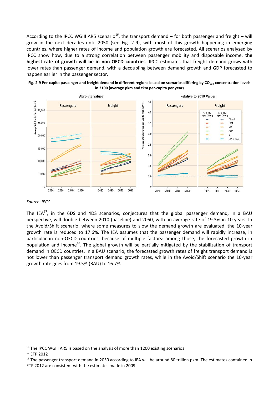According to the IPCC WGIII AR5 scenario<sup>16</sup>, the transport demand – for both passenger and freight – will grow in the next decades until 2050 (see [Fig. 2-9\)](#page-27-0), with most of this growth happening in emerging countries, where higher rates of income and population growth are forecasted. All scenarios analysed by IPCC show how, due to a strong correlation between passenger mobility and disposable income, **the highest rate of growth will be in non-OECD countries**. IPCC estimates that freight demand grows with lower rates than passenger demand, with a decoupling between demand growth and GDP forecasted to happen earlier in the passenger sector.

<span id="page-27-0"></span>



#### *Source: IPCC*

The IEA<sup>17</sup>, in the 6DS and 4DS scenarios, conjectures that the global passenger demand, in a BAU perspective, will double between 2010 (baseline) and 2050, with an average rate of 19.3% in 10 years. In the Avoid/Shift scenario, where some measures to slow the demand growth are evaluated, the 10-year growth rate is reduced to 17.6%. The IEA assumes that the passenger demand will rapidly increase, in particular in non-OECD countries, because of multiple factors: among those, the forecasted growth in population and income<sup>18</sup>. The global growth will be partially mitigated by the stabilization of transport demand in OECD countries. In a BAU scenario, the forecasted growth rates of freight transport demand is not lower than passenger transport demand growth rates, while in the Avoid/Shift scenario the 10-year growth rate goes from 19.5% (BAU) to 16.7%.

**.** 

 $16$  The IPCC WGIII AR5 is based on the analysis of more than 1200 existing scenarios

<sup>17</sup> ETP 2012

 $18$  The passenger transport demand in 2050 according to IEA will be around 80 trillion pkm. The estimates contained in ETP 2012 are consistent with the estimates made in 2009.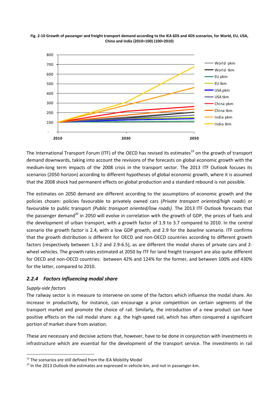



The International Transport Forum (ITF) of the OECD has revised its estimates<sup>19</sup> on the growth of transport demand downwards, taking into account the revisions of the forecasts on global economic growth with the medium-long term impacts of the 2008 crisis in the transport sector. The 2013 ITF Outlook focuses its scenarios (2050 horizon) according to different hypotheses of global economic growth, where it is assumed that the 2008 shock had permanent effects on global production and a standard rebound is not possible.

The estimates on 2050 demand are different according to the assumptions of economic growth and the policies chosen: policies favourable to privately owned cars (*Private transport oriented/high roads*) or favourable to public transport *(Public transport oriented/low roads)*. The 2013 ITF Outlook forecasts that the passenger demand<sup>20</sup> in 2050 will evolve in correlation with the growth of GDP, the prices of fuels and the development of urban transport, with a growth factor of 1.9 to 3.7 compared to 2010. In the *central* scenario the growth factor is 2.4, with a low GDP growth, and 2.9 for the *baseline* scenario. ITF confirms that the growth distribution is different for OECD and non-OECD countries according to different growth factors (respectively between 1.3-2 and 2.9-6.5), as are different the modal shares of private cars and 2 wheel vehicles. The growth rates estimated at 2050 by ITF for land freight transport are also quite different for OECD and non-OECD countries: between 42% and 124% for the former, and between 100% and 430% for the latter, compared to 2010.

### <span id="page-28-0"></span>*2.2.4 Factors influencing modal share*

### *Supply-side factors*

**.** 

The railway sector is in measure to intervene on some of the factors which influence the modal share. An increase in productivity, for instance, can encourage a price competition on certain segments of the transport market and promote the choice of rail. Similarly, the introduction of a new product can have positive effects on the rail modal share: e.g. the high-speed rail, which has often conquered a significant portion of market share from aviation.

These are necessary and decisive actions that, however, have to be done in conjunction with investments in infrastructure which are essential for the development of the transport service. The investments in rail

<sup>&</sup>lt;sup>19</sup> The scenarios are still defined from the IEA Mobility Model

 $20$  In the 2013 Outlook the estimates are expressed in vehicle-km, and not in passenger-km.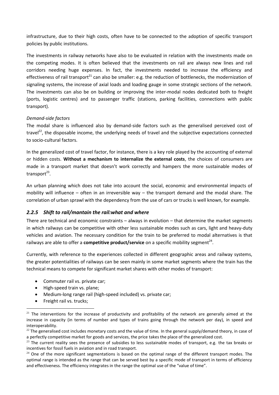infrastructure, due to their high costs, often have to be connected to the adoption of specific transport policies by public institutions.

The investments in railway networks have also to be evaluated in relation with the investments made on the competing modes. It is often believed that the investments on rail are always new lines and rail corridors needing huge expenses. In fact, the investments needed to increase the efficiency and effectiveness of rail transport<sup>21</sup> can also be smaller: e.g. the reduction of bottlenecks, the modernization of signaling systems, the increase of axial loads and loading gauge in some strategic sections of the network. The investments can also be on building or improving the inter-modal nodes dedicated both to freight (ports, logistic centres) and to passenger traffic (stations, parking facilities, connections with public transport).

### *Demand-side factors*

The modal share is influenced also by demand-side factors such as the generalised perceived cost of travel $^{22}$ , the disposable income, the underlying needs of travel and the subjective expectations connected to socio-cultural factors.

In the generalized cost of travel factor, for instance, there is a key role played by the accounting of external or hidden costs. **Without a mechanism to internalize the external costs**, the choices of consumers are made in a transport market that doesn't work correctly and hampers the more sustainable modes of transport<sup>23</sup>.

An urban planning which does not take into account the social, economic and environmental impacts of mobility will influence – often in an irreversible way – the transport demand and the modal share. The correlation of urban sprawl with the dependency from the use of cars or trucks is well known, for example.

# <span id="page-29-0"></span>*2.2.5 Shift to rail/mantain the rail:what and where*

There are technical and economic constraints – always in evolution – that determine the market segments in which railways can be competitive with other less sustainable modes such as cars, light and heavy-duty vehicles and aviation. The necessary condition for the train to be preferred to modal alternatives is that railways are able to offer a **competitive product/service** on a specific mobility segment<sup>24</sup>.

Currently, with reference to the experiences collected in different geographic areas and railway systems, the greater potentialities of railways can be seen mainly in some market segments where the train has the technical means to compete for significant market shares with other modes of transport:

- Commuter rail vs. private car;
- High-speed train vs. plane;
- Medium-long range rail (high-speed included) vs. private car;
- Freight rail vs. trucks:

 $\overline{a}$ 

 $21$  The interventions for the increase of productivity and profitability of the network are generally aimed at the increase in capacity (in terms of number and types of trains going through the network per day), in speed and interoperability.

 $22$  The generalised cost includes monetary costs and the value of time. In the general supply/demand theory, in case of a perfectly competitive market for goods and services, the price takes the place of the generalized cost.

 $^{23}$  The current reality sees the presence of subsidies to less sustainable modes of transport, e.g. the tax breaks or incentives for fossil fuels in aviation and in road transport.

 $24$  One of the more significant segmentations is based on the optimal range of the different transport modes. The optimal range is intended as the range that can be served best by a specific mode of transport in terms of efficiency and effectiveness. The efficiency integrates in the range the optimal use of the "value of time".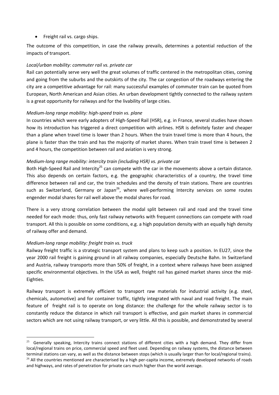• Freight rail vs. cargo ships.

The outcome of this competition, in case the railway prevails, determines a potential reduction of the impacts of transport.

### *Local/urban mobility: commuter rail vs. private car*

Rail can potentially serve very well the great volumes of traffic centered in the metropolitan cities, coming and going from the suburbs and the outskirts of the city. The car congestion of the roadways entering the city are a competitive advantage for rail: many successful examples of commuter train can be quoted from European, North American and Asian cities. An urban development tightly connected to the railway system is a great opportunity for railways and for the livability of large cities.

### *Medium-long range mobility: high-speed train vs. plane*

In countries which were early adopters of High-Speed Rail (HSR), e.g. in France, several studies have shown how its introduction has triggered a direct competition with airlines. HSR is definitely faster and cheaper than a plane when travel time is lower than 2 hours. When the train travel time is more than 4 hours, the plane is faster than the train and has the majority of market shares. When train travel time is between 2 and 4 hours, the competition between rail and aviation is very strong.

### *Medium-long range mobility: intercity train (including HSR) vs. private car*

Both High-Speed Rail and Intercity<sup>25</sup> can compete with the car in the movements above a certain distance. This also depends on certain factors, e.g. the geographic characteristics of a country, the travel time difference between rail and car, the train schedules and the density of train stations. There are countries such as Switzerland, Germany or Japan $^{26}$ , where well-performing Intercity services on some routes engender modal shares for rail well above the modal shares for road.

There is a very strong correlation between the modal split between rail and road and the travel time needed for each mode: thus, only fast railway networks with frequent connections can compete with road transport. All this is possible on some conditions, e.g. a high population density with an equally high density of railway offer and demand.

# *Medium-long range mobility: freight train vs. truck*

1

Railway freight traffic is a strategic transport system and plans to keep such a position. In EU27, since the year 2000 rail freight is gaining ground in all railway companies, especially Deutsche Bahn. In Switzerland and Austria, railway transports more than 50% of freight, in a context where railways have been assigned specific environmental objectives. In the USA as well, freight rail has gained market shares since the mid-Eighties.

Railway transport is extremely efficient to transport raw materials for industrial activity (e.g. steel, chemicals, automotive) and for container traffic, tightly integrated with naval and road freight. The main feature of freight rail is to operate on long distance: the challenge for the whole railway sector is to constantly reduce the distance in which rail transport is effective, and gain market shares in commercial sectors which are not using railway transport, or very little. All this is possible, and demonstrated by several

<sup>25</sup> Generally speaking, Intercity trains connect stations of different cities with a high demand. They differ from local/regional trains on price, commercial speed and fleet used. Depending on railway systems, the distance between terminal stations can vary, as well as the distance between stops (which is usually larger than for local/regional trains).  $26$  All the countries mentioned are characterised by a high per-capita income, extremely developed networks of roads and highways, and rates of penetration for private cars much higher than the world average.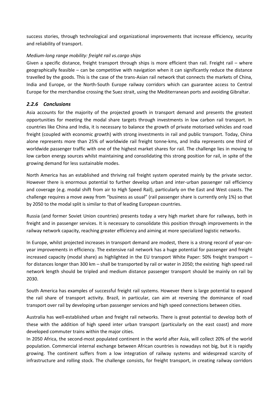success stories, through technological and organizational improvements that increase efficiency, security and reliability of transport.

### *Medium-long range mobility: freight rail vs.cargo ships*

Given a specific distance, freight transport through ships is more efficient than rail. Freight rail – where geographically feasible – can be competitive with navigation when it can significantly reduce the distance travelled by the goods. This is the case of the trans-Asian rail network that connects the markets of China, India and Europe, or the North-South Europe railway corridors which can guarantee access to Central Europe for the merchandise crossing the Suez strait, using the Mediterranean ports and avoiding Gibraltar.

# <span id="page-31-0"></span>*2.2.6 Conclusions*

Asia accounts for the majority of the projected growth in transport demand and presents the greatest opportunities for meeting the modal share targets through investments in low carbon rail transport. In countries like China and India, it is necessary to balance the growth of private motorised vehicles and road freight (coupled with economic growth) with strong investments in rail and public transport. Today, China alone represents more than 25% of worldwide rail freight tonne-kms, and India represents one third of worldwide passenger traffic with one of the highest market shares for rail. The challenge lies in moving to low carbon energy sources whilst maintaining and consolidating this strong position for rail, in spite of the growing demand for less sustainable modes.

North America has an established and thriving rail freight system operated mainly by the private sector. However there is enormous potential to further develop urban and inter-urban passenger rail efficiency and coverage (e.g. modal shift from air to High Speed Rail), particularly on the East and West coasts. The challenge requires a move away from "business as usual" (rail passenger share is currently only 1%) so that by 2050 to the modal split is similar to that of leading European countries.

Russia (and former Soviet Union countries) presents today a very high market share for railways, both in freight and in passenger services. It is necessary to consolidate this position through improvements in the railway network capacity, reaching greater efficiency and aiming at more specialized logistic networks.

In Europe, whilst projected increases in transport demand are modest, there is a strong record of year-onyear improvements in efficiency. The extensive rail network has a huge potential for passenger and freight increased capacity (modal share) as highlighted in the EU transport White Paper: 50% freight transport – for distances longer than 300 km – shall be transported by rail or water in 2050; the existing high speed rail network length should be tripled and medium distance passenger transport should be mainly on rail by 2030.

South America has examples of successful freight rail systems. However there is large potential to expand the rail share of transport activity. Brazil, in particular, can aim at reversing the dominance of road transport over rail by developing urban passenger services and high speed connections between cities.

Australia has well-established urban and freight rail networks. There is great potential to develop both of these with the addition of high speed inter urban transport (particularly on the east coast) and more developed commuter trains within the major cities.

In 2050 Africa, the second-most populated continent in the world after Asia, will collect 20% of the world population. Commercial internal exchange between African countries is nowadays not big, but it is rapidly growing. The continent suffers from a low integration of railway systems and widespread scarcity of infrastructure and rolling stock. The challenge consists, for freight transport, in creating railway corridors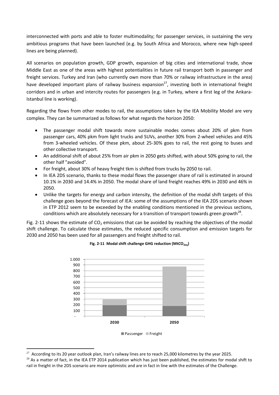interconnected with ports and able to foster multimodality; for passenger services, in sustaining the very ambitious programs that have been launched (e.g. by South Africa and Morocco, where new high-speed lines are being planned).

All scenarios on population growth, GDP growth, expansion of big cities and international trade, show Middle East as one of the areas with highest potentialities in future rail transport both in passenger and freight services. Turkey and Iran (who currently own more than 70% or railway infrastructure in the area) have developed important plans of railway business expansion<sup>27</sup>, investing both in international freight corridors and in urban and intercity routes for passengers (e.g. in Turkey, where a first leg of the Ankara-Istanbul line is working).

Regarding the flows from other modes to rail, the assumptions taken by the IEA Mobility Model are very complex. They can be summarized as follows for what regards the horizon 2050:

- The passenger modal shift towards more sustainable modes comes about 20% of pkm from passenger cars, 40% pkm from light trucks and SUVs, another 30% from 2-wheel vehicles and 45% from 3-wheeled vehicles. Of these pkm, about 25-30% goes to rail, the rest going to buses and other collective transport.
- An additional shift of about 25% from air pkm in 2050 gets shifted, with about 50% going to rail, the other half "avoided".
- For freight, about 30% of heavy freight tkm is shifted from trucks by 2050 to rail.
- In IEA 2DS scenario, thanks to these modal flows the passenger share of rail is estimated in around 10.1% in 2030 and 14.4% in 2050. The modal share of land freight reaches 49% in 2030 and 46% in 2050.
- Unlike the targets for energy and carbon intensity, the definition of the modal shift targets of this challenge goes beyond the forecast of IEA: some of the assumptions of the IEA 2DS scenario shown in ETP 2012 seem to be exceeded by the enabling conditions mentioned in the previous sections, conditions which are absolutely necessary for a transition of transport towards green growth<sup>28</sup>.

<span id="page-32-0"></span>[Fig. 2-11](#page-32-0) shows the estimate of  $CO<sub>2</sub>$  emissions that can be avoided by reaching the objectives of the modal shift challenge. To calculate those estimates, the reduced specific consumption and emission targets for 2030 and 2050 has been used for all passengers and freight shifted to rail.



### **Fig. 2-11 Modal shift challenge GHG reduction (MtCO2eq)**

<sup>1</sup>  $27$  According to its 20 year outlook plan, Iran's railway lines are to reach 25,000 kilometres by the year 2025.

 $^{28}$  As a matter of fact, in the IEA ETP 2014 publication which has just been published, the estimates for modal shift to rail in freight in the 2DS scenario are more optimistic and are in fact in line with the estimates of the Challenge.